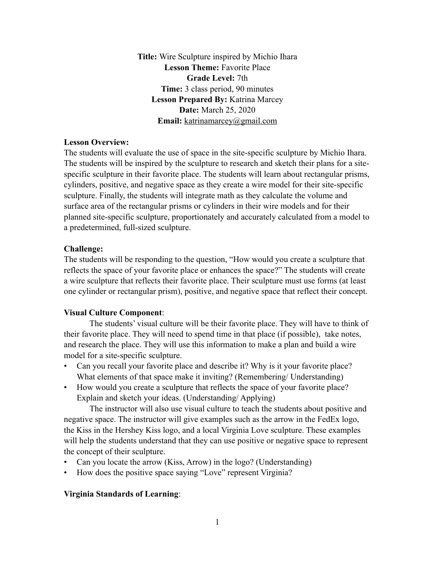**Title:** Wire Sculpture inspired by Michio Ihara **Lesson Theme: Favorite Place Grade Level:** 7th **Time:** 3 class period, 90 minutes **Lesson Prepared By:** Katrina Marcey **Date:** March 25, 2020 **Email:** [katrinamarcey@gmail.com](mailto:katrinamarcey@gmail.com)

#### **Lesson Overview:**

The students will evaluate the use of space in the site-specific sculpture by Michio Ihara. The students will be inspired by the sculpture to research and sketch their plans for a sitespecific sculpture in their favorite place. The students will learn about rectangular prisms, cylinders, positive, and negative space as they create a wire model for their site-specific sculpture. Finally, the students will integrate math as they calculate the volume and surface area of the rectangular prisms or cylinders in their wire models and for their planned site-specific sculpture, proportionately and accurately calculated from a model to a predetermined, full-sized sculpture.

#### **Challenge:**

The students will be responding to the question, "How would you create a sculpture that reflects the space of your favorite place or enhances the space?" The students will create a wire sculpture that reflects their favorite place. Their sculpture must use forms (at least one cylinder or rectangular prism), positive, and negative space that reflect their concept.

#### **Visual Culture Component**:

 The students' visual culture will be their favorite place. They will have to think of their favorite place. They will need to spend time in that place (if possible), take notes, and research the place. They will use this information to make a plan and build a wire model for a site-specific sculpture.

- Can you recall your favorite place and describe it? Why is it your favorite place? What elements of that space make it inviting? (Remembering/ Understanding)
- How would you create a sculpture that reflects the space of your favorite place? Explain and sketch your ideas. (Understanding/ Applying)

 The instructor will also use visual culture to teach the students about positive and negative space. The instructor will give examples such as the arrow in the FedEx logo, the Kiss in the Hershey Kiss logo, and a local Virginia Love sculpture. These examples will help the students understand that they can use positive or negative space to represent the concept of their sculpture.

- Can you locate the arrow (Kiss, Arrow) in the logo? (Understanding)
- How does the positive space saying "Love" represent Virginia?

#### **Virginia Standards of Learning**: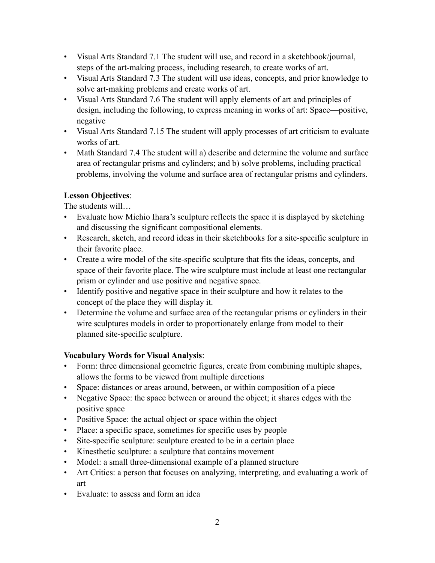- Visual Arts Standard 7.1 The student will use, and record in a sketchbook/journal, steps of the art-making process, including research, to create works of art.
- Visual Arts Standard 7.3 The student will use ideas, concepts, and prior knowledge to solve art-making problems and create works of art.
- Visual Arts Standard 7.6 The student will apply elements of art and principles of design, including the following, to express meaning in works of art: Space—positive, negative
- Visual Arts Standard 7.15 The student will apply processes of art criticism to evaluate works of art.
- Math Standard 7.4 The student will a) describe and determine the volume and surface area of rectangular prisms and cylinders; and b) solve problems, including practical problems, involving the volume and surface area of rectangular prisms and cylinders.

## **Lesson Objectives**:

The students will…

- Evaluate how Michio Ihara's sculpture reflects the space it is displayed by sketching and discussing the significant compositional elements.
- Research, sketch, and record ideas in their sketchbooks for a site-specific sculpture in their favorite place.
- Create a wire model of the site-specific sculpture that fits the ideas, concepts, and space of their favorite place. The wire sculpture must include at least one rectangular prism or cylinder and use positive and negative space.
- Identify positive and negative space in their sculpture and how it relates to the concept of the place they will display it.
- Determine the volume and surface area of the rectangular prisms or cylinders in their wire sculptures models in order to proportionately enlarge from model to their planned site-specific sculpture.

# **Vocabulary Words for Visual Analysis**:

- Form: three dimensional geometric figures, create from combining multiple shapes, allows the forms to be viewed from multiple directions
- Space: distances or areas around, between, or within composition of a piece
- Negative Space: the space between or around the object; it shares edges with the positive space
- Positive Space: the actual object or space within the object
- Place: a specific space, sometimes for specific uses by people
- Site-specific sculpture: sculpture created to be in a certain place
- Kinesthetic sculpture: a sculpture that contains movement
- Model: a small three-dimensional example of a planned structure
- Art Critics: a person that focuses on analyzing, interpreting, and evaluating a work of art
- Evaluate: to assess and form an idea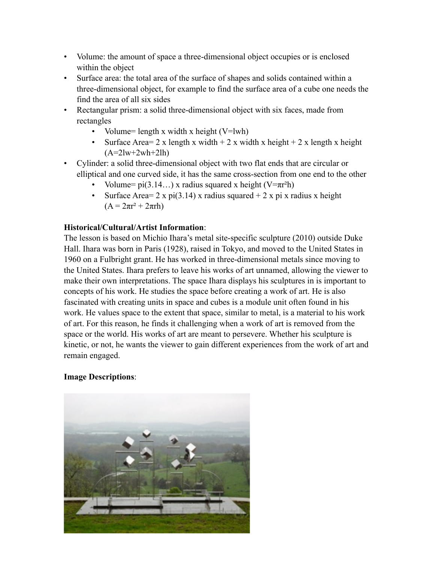- Volume: the amount of space a three-dimensional object occupies or is enclosed within the object
- Surface area: the total area of the surface of shapes and solids contained within a three-dimensional object, for example to find the surface area of a cube one needs the find the area of all six sides
- Rectangular prism: a solid three-dimensional object with six faces, made from rectangles
	- Volume= length x width x height  $(V=lwh)$
	- Surface Area = 2 x length x width + 2 x width x height + 2 x length x height  $(A=2lw+2wh+2lh)$
- Cylinder: a solid three-dimensional object with two flat ends that are circular or elliptical and one curved side, it has the same cross-section from one end to the other
	- Volume=  $pi(3.14...)$  x radius squared x height (V= $\pi r^2 h$ )
	- Surface Area = 2 x pi(3.14) x radius squared  $+ 2 x$  pi x radius x height  $(A = 2\pi r^2 + 2\pi rh)$

## **Historical/Cultural/Artist Information**:

The lesson is based on Michio Ihara's metal site-specific sculpture (2010) outside Duke Hall. Ihara was born in Paris (1928), raised in Tokyo, and moved to the United States in 1960 on a Fulbright grant. He has worked in three-dimensional metals since moving to the United States. Ihara prefers to leave his works of art unnamed, allowing the viewer to make their own interpretations. The space Ihara displays his sculptures in is important to concepts of his work. He studies the space before creating a work of art. He is also fascinated with creating units in space and cubes is a module unit often found in his work. He values space to the extent that space, similar to metal, is a material to his work of art. For this reason, he finds it challenging when a work of art is removed from the space or the world. His works of art are meant to persevere. Whether his sculpture is kinetic, or not, he wants the viewer to gain different experiences from the work of art and remain engaged.

## **Image Descriptions**:

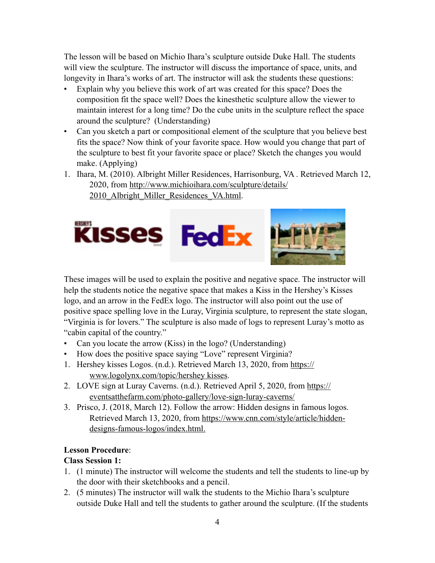The lesson will be based on Michio Ihara's sculpture outside Duke Hall. The students will view the sculpture. The instructor will discuss the importance of space, units, and longevity in Ihara's works of art. The instructor will ask the students these questions:

- Explain why you believe this work of art was created for this space? Does the composition fit the space well? Does the kinesthetic sculpture allow the viewer to maintain interest for a long time? Do the cube units in the sculpture reflect the space around the sculpture? (Understanding)
- Can you sketch a part or compositional element of the sculpture that you believe best fits the space? Now think of your favorite space. How would you change that part of the sculpture to best fit your favorite space or place? Sketch the changes you would make. (Applying)
- 1. Ihara, M. (2010). Albright Miller Residences, Harrisonburg, VA . Retrieved March 12, [2020, from http://www.michioihara.com/sculpture/details/](http://www.michioihara.com/sculpture/details/2010_Albright_Miller_Residences_VA.html) 2010 Albright Miller Residences VA.html.



These images will be used to explain the positive and negative space. The instructor will help the students notice the negative space that makes a Kiss in the Hershey's Kisses logo, and an arrow in the FedEx logo. The instructor will also point out the use of positive space spelling love in the Luray, Virginia sculpture, to represent the state slogan, "Virginia is for lovers." The sculpture is also made of logs to represent Luray's motto as "cabin capital of the country."

- Can you locate the arrow (Kiss) in the logo? (Understanding)
- How does the positive space saying "Love" represent Virginia?
- 1. Hershey kisses Logos. (n.d.). Retrieved March 13, 2020, from https:// www.logolynx.com/topic/hershey kisses.
- 2. LOVE sign at Luray Caverns. (n.d.). Retrieved April 5, 2020, from https:// eventsatthefarm.com/photo-gallery/love-sign-luray-caverns/
- 3. Prisco, J. (2018, March 12). Follow the arrow: Hidden designs in famous logos. Retrieved March 13, 2020, from [https://www.cnn.com/style/article/hidden](https://www.cnn.com/style/article/hidden-)designs-famous-logos/index.html.

## **Lesson Procedure**:

## **Class Session 1:**

- 1. (1 minute) The instructor will welcome the students and tell the students to line-up by the door with their sketchbooks and a pencil.
- 2. (5 minutes) The instructor will walk the students to the Michio Ihara's sculpture outside Duke Hall and tell the students to gather around the sculpture. (If the students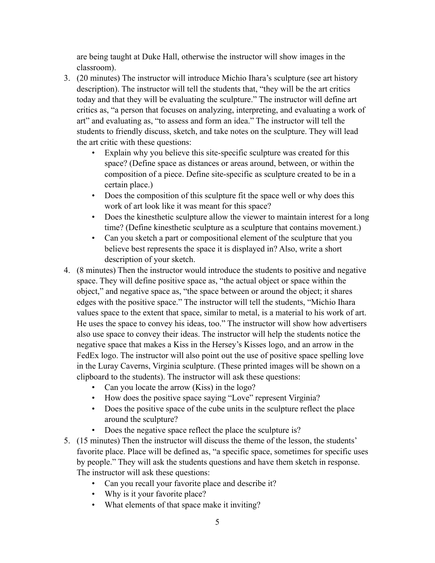are being taught at Duke Hall, otherwise the instructor will show images in the classroom).

- 3. (20 minutes) The instructor will introduce Michio Ihara's sculpture (see art history description). The instructor will tell the students that, "they will be the art critics today and that they will be evaluating the sculpture." The instructor will define art critics as, "a person that focuses on analyzing, interpreting, and evaluating a work of art" and evaluating as, "to assess and form an idea." The instructor will tell the students to friendly discuss, sketch, and take notes on the sculpture. They will lead the art critic with these questions:
	- Explain why you believe this site-specific sculpture was created for this space? (Define space as distances or areas around, between, or within the composition of a piece. Define site-specific as sculpture created to be in a certain place.)
	- Does the composition of this sculpture fit the space well or why does this work of art look like it was meant for this space?
	- Does the kinesthetic sculpture allow the viewer to maintain interest for a long time? (Define kinesthetic sculpture as a sculpture that contains movement.)
	- Can you sketch a part or compositional element of the sculpture that you believe best represents the space it is displayed in? Also, write a short description of your sketch.
- 4. (8 minutes) Then the instructor would introduce the students to positive and negative space. They will define positive space as, "the actual object or space within the object," and negative space as, "the space between or around the object; it shares edges with the positive space." The instructor will tell the students, "Michio Ihara values space to the extent that space, similar to metal, is a material to his work of art. He uses the space to convey his ideas, too." The instructor will show how advertisers also use space to convey their ideas. The instructor will help the students notice the negative space that makes a Kiss in the Hersey's Kisses logo, and an arrow in the FedEx logo. The instructor will also point out the use of positive space spelling love in the Luray Caverns, Virginia sculpture. (These printed images will be shown on a clipboard to the students). The instructor will ask these questions:
	- Can you locate the arrow (Kiss) in the logo?
	- How does the positive space saying "Love" represent Virginia?
	- Does the positive space of the cube units in the sculpture reflect the place around the sculpture?
	- Does the negative space reflect the place the sculpture is?
- 5. (15 minutes) Then the instructor will discuss the theme of the lesson, the students' favorite place. Place will be defined as, "a specific space, sometimes for specific uses by people." They will ask the students questions and have them sketch in response. The instructor will ask these questions:
	- Can you recall your favorite place and describe it?
	- Why is it your favorite place?
	- What elements of that space make it inviting?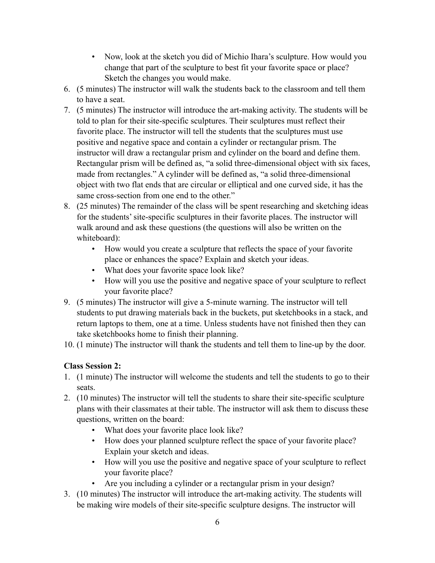- Now, look at the sketch you did of Michio Ihara's sculpture. How would you change that part of the sculpture to best fit your favorite space or place? Sketch the changes you would make.
- 6. (5 minutes) The instructor will walk the students back to the classroom and tell them to have a seat.
- 7. (5 minutes) The instructor will introduce the art-making activity. The students will be told to plan for their site-specific sculptures. Their sculptures must reflect their favorite place. The instructor will tell the students that the sculptures must use positive and negative space and contain a cylinder or rectangular prism. The instructor will draw a rectangular prism and cylinder on the board and define them. Rectangular prism will be defined as, "a solid three-dimensional object with six faces, made from rectangles." A cylinder will be defined as, "a solid three-dimensional object with two flat ends that are circular or elliptical and one curved side, it has the same cross-section from one end to the other."
- 8. (25 minutes) The remainder of the class will be spent researching and sketching ideas for the students' site-specific sculptures in their favorite places. The instructor will walk around and ask these questions (the questions will also be written on the whiteboard):
	- How would you create a sculpture that reflects the space of your favorite place or enhances the space? Explain and sketch your ideas.
	- What does your favorite space look like?
	- How will you use the positive and negative space of your sculpture to reflect your favorite place?
- 9. (5 minutes) The instructor will give a 5-minute warning. The instructor will tell students to put drawing materials back in the buckets, put sketchbooks in a stack, and return laptops to them, one at a time. Unless students have not finished then they can take sketchbooks home to finish their planning.
- 10. (1 minute) The instructor will thank the students and tell them to line-up by the door.

# **Class Session 2:**

- 1. (1 minute) The instructor will welcome the students and tell the students to go to their seats.
- 2. (10 minutes) The instructor will tell the students to share their site-specific sculpture plans with their classmates at their table. The instructor will ask them to discuss these questions, written on the board:
	- What does your favorite place look like?
	- How does your planned sculpture reflect the space of your favorite place? Explain your sketch and ideas.
	- How will you use the positive and negative space of your sculpture to reflect your favorite place?
	- Are you including a cylinder or a rectangular prism in your design?
- 3. (10 minutes) The instructor will introduce the art-making activity. The students will be making wire models of their site-specific sculpture designs. The instructor will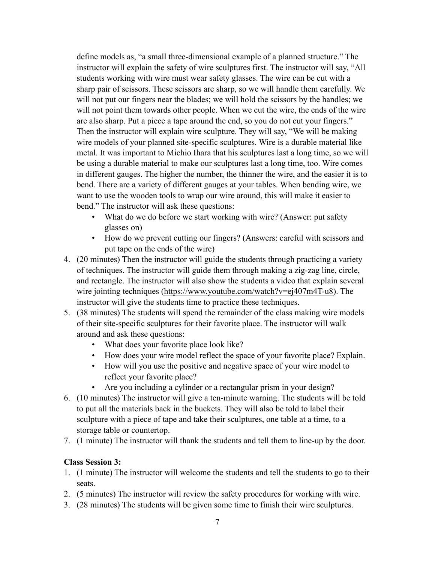define models as, "a small three-dimensional example of a planned structure." The instructor will explain the safety of wire sculptures first. The instructor will say, "All students working with wire must wear safety glasses. The wire can be cut with a sharp pair of scissors. These scissors are sharp, so we will handle them carefully. We will not put our fingers near the blades; we will hold the scissors by the handles; we will not point them towards other people. When we cut the wire, the ends of the wire are also sharp. Put a piece a tape around the end, so you do not cut your fingers." Then the instructor will explain wire sculpture. They will say, "We will be making wire models of your planned site-specific sculptures. Wire is a durable material like metal. It was important to Michio Ihara that his sculptures last a long time, so we will be using a durable material to make our sculptures last a long time, too. Wire comes in different gauges. The higher the number, the thinner the wire, and the easier it is to bend. There are a variety of different gauges at your tables. When bending wire, we want to use the wooden tools to wrap our wire around, this will make it easier to bend." The instructor will ask these questions:

- What do we do before we start working with wire? (Answer: put safety glasses on)
- How do we prevent cutting our fingers? (Answers: careful with scissors and put tape on the ends of the wire)
- 4. (20 minutes) Then the instructor will guide the students through practicing a variety of techniques. The instructor will guide them through making a zig-zag line, circle, and rectangle. The instructor will also show the students a video that explain several wire jointing techniques (<https://www.youtube.com/watch?v=ej407m4T-u8>). The instructor will give the students time to practice these techniques.
- 5. (38 minutes) The students will spend the remainder of the class making wire models of their site-specific sculptures for their favorite place. The instructor will walk around and ask these questions:
	- What does your favorite place look like?
	- How does your wire model reflect the space of your favorite place? Explain.
	- How will you use the positive and negative space of your wire model to reflect your favorite place?
	- Are you including a cylinder or a rectangular prism in your design?
- 6. (10 minutes) The instructor will give a ten-minute warning. The students will be told to put all the materials back in the buckets. They will also be told to label their sculpture with a piece of tape and take their sculptures, one table at a time, to a storage table or countertop.
- 7. (1 minute) The instructor will thank the students and tell them to line-up by the door.

## **Class Session 3:**

- 1. (1 minute) The instructor will welcome the students and tell the students to go to their seats.
- 2. (5 minutes) The instructor will review the safety procedures for working with wire.
- 3. (28 minutes) The students will be given some time to finish their wire sculptures.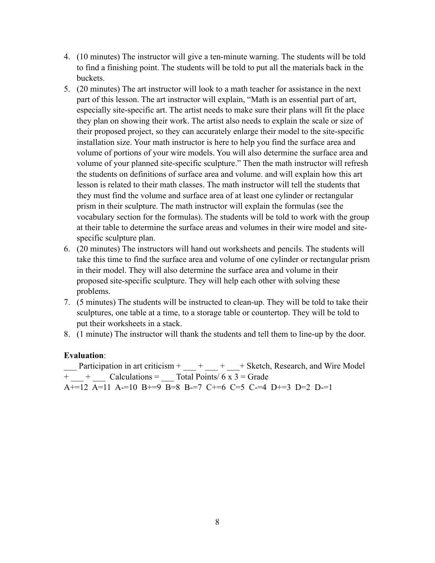- 4. (10 minutes) The instructor will give a ten-minute warning. The students will be told to find a finishing point. The students will be told to put all the materials back in the buckets.
- 5. (20 minutes) The art instructor will look to a math teacher for assistance in the next part of this lesson. The art instructor will explain, "Math is an essential part of art, especially site-specific art. The artist needs to make sure their plans will fit the place they plan on showing their work. The artist also needs to explain the scale or size of their proposed project, so they can accurately enlarge their model to the site-specific installation size. Your math instructor is here to help you find the surface area and volume of portions of your wire models. You will also determine the surface area and volume of your planned site-specific sculpture." Then the math instructor will refresh the students on definitions of surface area and volume. and will explain how this art lesson is related to their math classes. The math instructor will tell the students that they must find the volume and surface area of at least one cylinder or rectangular prism in their sculpture. The math instructor will explain the formulas (see the vocabulary section for the formulas). The students will be told to work with the group at their table to determine the surface areas and volumes in their wire model and sitespecific sculpture plan.
- 6. (20 minutes) The instructors will hand out worksheets and pencils. The students will take this time to find the surface area and volume of one cylinder or rectangular prism in their model. They will also determine the surface area and volume in their proposed site-specific sculpture. They will help each other with solving these problems.
- 7. (5 minutes) The students will be instructed to clean-up. They will be told to take their sculptures, one table at a time, to a storage table or countertop. They will be told to put their worksheets in a stack.
- 8. (1 minute) The instructor will thank the students and tell them to line-up by the door.

#### **Evaluation**:

Participation in art criticism  $+$   $+$   $+$   $+$   $+$  Sketch, Research, and Wire Model  $+$   $+$   $-$  +  $-$  Calculations = Total Points/ 6 x 3 = Grade A+=12 A=11 A-=10 B+=9 B=8 B-=7 C+=6 C=5 C-=4 D+=3 D=2 D-=1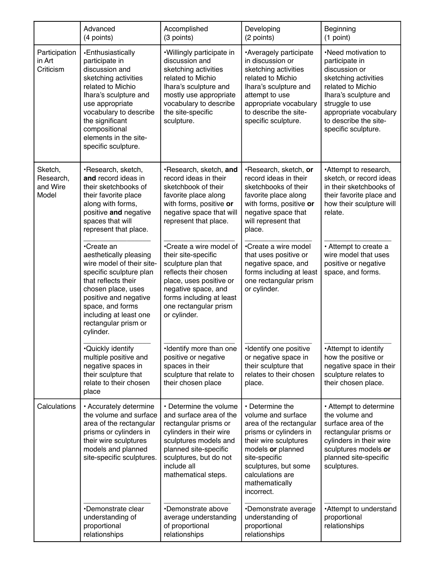|                                           | Advanced<br>(4 points)                                                                                                                                                                                                                                       | Accomplished<br>(3 points)                                                                                                                                                                                              | Developing<br>(2 points)                                                                                                                                                                                                              | Beginning<br>(1 point)                                                                                                                                                                                                    |
|-------------------------------------------|--------------------------------------------------------------------------------------------------------------------------------------------------------------------------------------------------------------------------------------------------------------|-------------------------------------------------------------------------------------------------------------------------------------------------------------------------------------------------------------------------|---------------------------------------------------------------------------------------------------------------------------------------------------------------------------------------------------------------------------------------|---------------------------------------------------------------------------------------------------------------------------------------------------------------------------------------------------------------------------|
| Participation<br>in Art<br>Criticism      | •Enthusiastically<br>participate in<br>discussion and<br>sketching activities<br>related to Michio<br>lhara's sculpture and<br>use appropriate<br>vocabulary to describe<br>the significant<br>compositional<br>elements in the site-<br>specific sculpture. | .Willingly participate in<br>discussion and<br>sketching activities<br>related to Michio<br>Ihara's sculpture and<br>mostly use appropriate<br>vocabulary to describe<br>the site-specific<br>sculpture.                | •Averagely participate<br>in discussion or<br>sketching activities<br>related to Michio<br>Ihara's sculpture and<br>attempt to use<br>appropriate vocabulary<br>to describe the site-<br>specific sculpture.                          | •Need motivation to<br>participate in<br>discussion or<br>sketching activities<br>related to Michio<br>Ihara's sculpture and<br>struggle to use<br>appropriate vocabulary<br>to describe the site-<br>specific sculpture. |
| Sketch,<br>Research,<br>and Wire<br>Model | ·Research, sketch,<br>and record ideas in<br>their sketchbooks of<br>their favorite place<br>along with forms,<br>positive and negative<br>spaces that will<br>represent that place.                                                                         | ·Research, sketch, and<br>record ideas in their<br>sketchbook of their<br>favorite place along<br>with forms, positive or<br>negative space that will<br>represent that place.                                          | ·Research, sketch, or<br>record ideas in their<br>sketchbooks of their<br>favorite place along<br>with forms, positive or<br>negative space that<br>will represent that<br>place.                                                     | Attempt to research,<br>sketch, or record ideas<br>in their sketchbooks of<br>their favorite place and<br>how their sculpture will<br>relate.                                                                             |
|                                           | •Create an<br>aesthetically pleasing<br>wire model of their site-<br>specific sculpture plan<br>that reflects their<br>chosen place, uses<br>positive and negative<br>space, and forms<br>including at least one<br>rectangular prism or<br>cylinder.        | •Create a wire model of<br>their site-specific<br>sculpture plan that<br>reflects their chosen<br>place, uses positive or<br>negative space, and<br>forms including at least<br>one rectangular prism<br>or cylinder.   | •Create a wire model<br>that uses positive or<br>negative space, and<br>forms including at least<br>one rectangular prism<br>or cylinder.                                                                                             | • Attempt to create a<br>wire model that uses<br>positive or negative<br>space, and forms.                                                                                                                                |
|                                           | <b>.</b> Quickly identify<br>multiple positive and<br>negative spaces in<br>their sculpture that<br>relate to their chosen<br>place                                                                                                                          | ·Identify more than one<br>positive or negative<br>spaces in their<br>sculpture that relate to<br>their chosen place                                                                                                    | ·Identify one positive<br>or negative space in<br>their sculpture that<br>relates to their chosen<br>place.                                                                                                                           | •Attempt to identify<br>how the positive or<br>negative space in their<br>sculpture relates to<br>their chosen place.                                                                                                     |
| Calculations                              | · Accurately determine<br>the volume and surface<br>area of the rectangular<br>prisms or cylinders in<br>their wire sculptures<br>models and planned<br>site-specific sculptures.                                                                            | • Determine the volume<br>and surface area of the<br>rectangular prisms or<br>cylinders in their wire<br>sculptures models and<br>planned site-specific<br>sculptures, but do not<br>include all<br>mathematical steps. | • Determine the<br>volume and surface<br>area of the rectangular<br>prisms or cylinders in<br>their wire sculptures<br>models or planned<br>site-specific<br>sculptures, but some<br>calculations are<br>mathematically<br>incorrect. | • Attempt to determine<br>the volume and<br>surface area of the<br>rectangular prisms or<br>cylinders in their wire<br>sculptures models or<br>planned site-specific<br>sculptures.                                       |
|                                           | •Demonstrate clear<br>understanding of<br>proportional<br>relationships                                                                                                                                                                                      | •Demonstrate above<br>average understanding<br>of proportional<br>relationships                                                                                                                                         | •Demonstrate average<br>understanding of<br>proportional<br>relationships                                                                                                                                                             | •Attempt to understand<br>proportional<br>relationships                                                                                                                                                                   |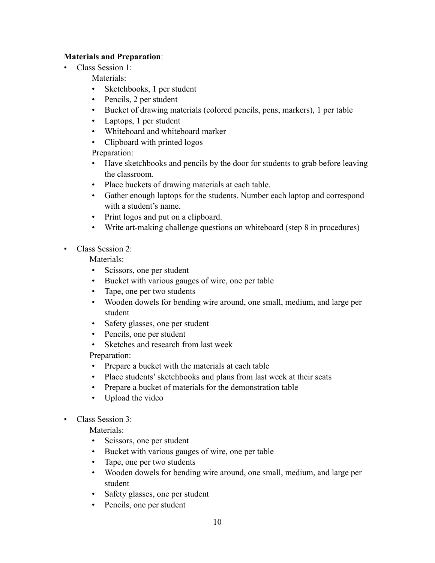#### **Materials and Preparation**:

• Class Session 1:

Materials:

- Sketchbooks, 1 per student
- Pencils, 2 per student
- Bucket of drawing materials (colored pencils, pens, markers), 1 per table
- Laptops, 1 per student
- Whiteboard and whiteboard marker
- Clipboard with printed logos

Preparation:

- Have sketchbooks and pencils by the door for students to grab before leaving the classroom.
- Place buckets of drawing materials at each table.
- Gather enough laptops for the students. Number each laptop and correspond with a student's name.
- Print logos and put on a clipboard.
- Write art-making challenge questions on whiteboard (step 8 in procedures)
- Class Session 2:

Materials<sup>.</sup>

- Scissors, one per student
- Bucket with various gauges of wire, one per table
- Tape, one per two students
- Wooden dowels for bending wire around, one small, medium, and large per student
- Safety glasses, one per student
- Pencils, one per student
- Sketches and research from last week

Preparation:

- Prepare a bucket with the materials at each table
- Place students' sketchbooks and plans from last week at their seats
- Prepare a bucket of materials for the demonstration table
- Upload the video
- Class Session 3:

Materials:

- Scissors, one per student
- Bucket with various gauges of wire, one per table
- Tape, one per two students
- Wooden dowels for bending wire around, one small, medium, and large per student
- Safety glasses, one per student
- Pencils, one per student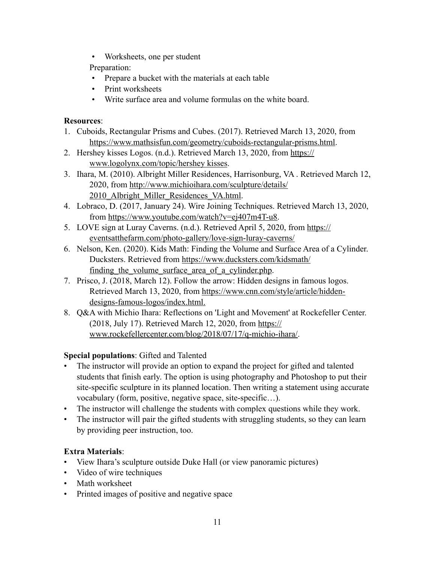• Worksheets, one per student

Preparation:

- Prepare a bucket with the materials at each table
- Print worksheets
- Write surface area and volume formulas on the white board.

#### **Resources**:

- 1. Cuboids, Rectangular Prisms and Cubes. (2017). Retrieved March 13, 2020, from [https://www.mathsisfun.com/geometry/cuboids-rectangular-prisms.html.](https://www.mathsisfun.com/geometry/cuboids-rectangular-prisms.html)
- 2. Hershey kisses Logos. (n.d.). Retrieved March 13, 2020, from https:// www.logolynx.com/topic/hershey kisses.
- 3. Ihara, M. (2010). Albright Miller Residences, Harrisonburg, VA . Retrieved March 12, [2020, from http://www.michioihara.com/sculpture/details/](http://www.michioihara.com/sculpture/details/2010_Albright_Miller_Residences_VA.html) 2010 Albright Miller Residences VA.html.
- 4. Lobraco, D. (2017, January 24). Wire Joining Techniques. Retrieved March 13, 2020, from<https://www.youtube.com/watch?v=ej407m4T-u8>.
- 5. LOVE sign at Luray Caverns. (n.d.). Retrieved April 5, 2020, from https:// eventsatthefarm.com/photo-gallery/love-sign-luray-caverns/
- 6. Nelson, Ken. (2020). Kids Math: Finding the Volume and Surface Area of a Cylinder. Ducksters. Retrieved from <https://www.ducksters.com/kidsmath/> finding the volume surface area of a cylinder.php.
- 7. Prisco, J. (2018, March 12). Follow the arrow: Hidden designs in famous logos. Retrieved March 13, 2020, from [https://www.cnn.com/style/article/hidden](https://www.cnn.com/style/article/hidden-)designs-famous-logos/index.html.
- 8. Q&A with Michio Ihara: Reflections on 'Light and Movement' at Rockefeller Center. (2018, July 17). Retrieved March 12, 2020, from https:// [www.rockefellercenter.com/blog/2018/07/17/q-michio-ihara/](https://www.rockefellercenter.com/blog/2018/07/17/q-michio-ihara/).

## **Special populations**: Gifted and Talented

- The instructor will provide an option to expand the project for gifted and talented students that finish early. The option is using photography and Photoshop to put their site-specific sculpture in its planned location. Then writing a statement using accurate vocabulary (form, positive, negative space, site-specific…).
- The instructor will challenge the students with complex questions while they work.
- The instructor will pair the gifted students with struggling students, so they can learn by providing peer instruction, too.

## **Extra Materials**:

- View Ihara's sculpture outside Duke Hall (or view panoramic pictures)
- Video of wire techniques
- Math worksheet
- Printed images of positive and negative space